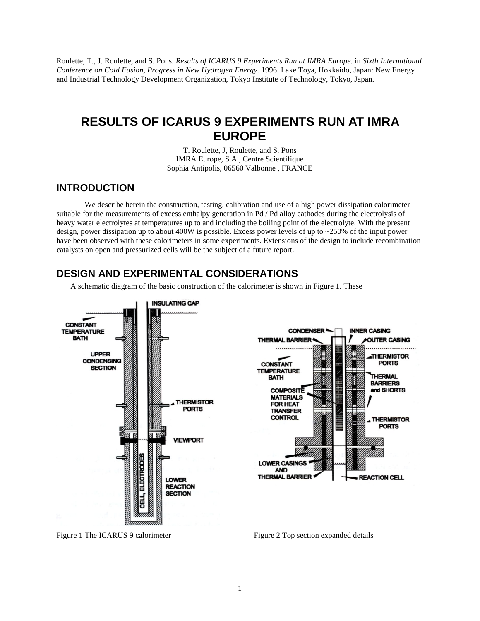Roulette, T., J. Roulette, and S. Pons. *Results of ICARUS 9 Experiments Run at IMRA Europe.* in *Sixth International Conference on Cold Fusion, Progress in New Hydrogen Energy.* 1996. Lake Toya, Hokkaido, Japan: New Energy and Industrial Technology Development Organization, Tokyo Institute of Technology, Tokyo, Japan.

## **RESULTS OF ICARUS 9 EXPERIMENTS RUN AT IMRA EUROPE**

T. Roulette, J, Roulette, and S. Pons IMRA Europe, S.A., Centre Scientifique Sophia Antipolis, 06560 Valbonne , FRANCE

## **INTRODUCTION**

We describe herein the construction, testing, calibration and use of a high power dissipation calorimeter suitable for the measurements of excess enthalpy generation in Pd / Pd alloy cathodes during the electrolysis of heavy water electrolytes at temperatures up to and including the boiling point of the electrolyte. With the present design, power dissipation up to about 400W is possible. Excess power levels of up to ~250% of the input power have been observed with these calorimeters in some experiments. Extensions of the design to include recombination catalysts on open and pressurized cells will be the subject of a future report.

## **DESIGN AND EXPERIMENTAL CONSIDERATIONS**

A schematic diagram of the basic construction of the calorimeter is shown in Figure 1. These



Figure 1 The ICARUS 9 calorimeter Figure 2 Top section expanded details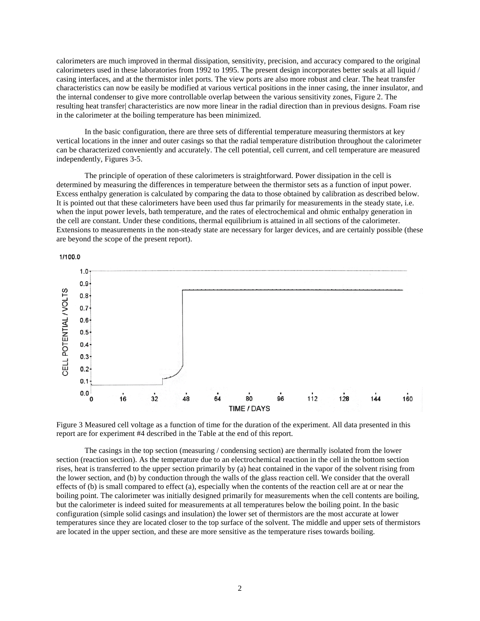calorimeters are much improved in thermal dissipation, sensitivity, precision, and accuracy compared to the original calorimeters used in these laboratories from 1992 to 1995. The present design incorporates better seals at all liquid / casing interfaces, and at the thermistor inlet ports. The view ports are also more robust and clear. The heat transfer characteristics can now be easily be modified at various vertical positions in the inner casing, the inner insulator, and the internal condenser to give more controllable overlap between the various sensitivity zones, Figure 2. The resulting heat transfer| characteristics are now more linear in the radial direction than in previous designs. Foam rise in the calorimeter at the boiling temperature has been minimized.

In the basic configuration, there are three sets of differential temperature measuring thermistors at key vertical locations in the inner and outer casings so that the radial temperature distribution throughout the calorimeter can be characterized conveniently and accurately. The cell potential, cell current, and cell temperature are measured independently, Figures 3-5.

The principle of operation of these calorimeters is straightforward. Power dissipation in the cell is determined by measuring the differences in temperature between the thermistor sets as a function of input power. Excess enthalpy generation is calculated by comparing the data to those obtained by calibration as described below. It is pointed out that these calorimeters have been used thus far primarily for measurements in the steady state, i.e. when the input power levels, bath temperature, and the rates of electrochemical and ohmic enthalpy generation in the cell are constant. Under these conditions, thermal equilibrium is attained in all sections of the calorimeter. Extensions to measurements in the non-steady state are necessary for larger devices, and are certainly possible (these are beyond the scope of the present report).



Figure 3 Measured cell voltage as a function of time for the duration of the experiment. All data presented in this report are for experiment #4 described in the Table at the end of this report.

The casings in the top section (measuring / condensing section) are thermally isolated from the lower section (reaction section). As the temperature due to an electrochemical reaction in the cell in the bottom section rises, heat is transferred to the upper section primarily by (a) heat contained in the vapor of the solvent rising from the lower section, and (b) by conduction through the walls of the glass reaction cell. We consider that the overall effects of (b) is small compared to effect (a), especially when the contents of the reaction cell are at or near the boiling point. The calorimeter was initially designed primarily for measurements when the cell contents are boiling, but the calorimeter is indeed suited for measurements at all temperatures below the boiling point. In the basic configuration (simple solid casings and insulation) the lower set of thermistors are the most accurate at lower temperatures since they are located closer to the top surface of the solvent. The middle and upper sets of thermistors are located in the upper section, and these are more sensitive as the temperature rises towards boiling.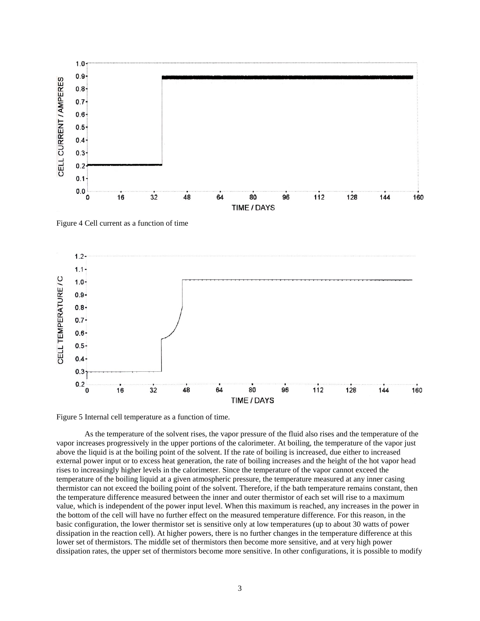

Figure 4 Cell current as a function of time



Figure 5 Internal cell temperature as a function of time.

As the temperature of the solvent rises, the vapor pressure of the fluid also rises and the temperature of the vapor increases progressively in the upper portions of the calorimeter. At boiling, the temperature of the vapor just above the liquid is at the boiling point of the solvent. If the rate of boiling is increased, due either to increased external power input or to excess heat generation, the rate of boiling increases and the height of the hot vapor head rises to increasingly higher levels in the calorimeter. Since the temperature of the vapor cannot exceed the temperature of the boiling liquid at a given atmospheric pressure, the temperature measured at any inner casing thermistor can not exceed the boiling point of the solvent. Therefore, if the bath temperature remains constant, then the temperature difference measured between the inner and outer thermistor of each set will rise to a maximum value, which is independent of the power input level. When this maximum is reached, any increases in the power in the bottom of the cell will have no further effect on the measured temperature difference. For this reason, in the basic configuration, the lower thermistor set is sensitive only at low temperatures (up to about 30 watts of power dissipation in the reaction cell). At higher powers, there is no further changes in the temperature difference at this lower set of thermistors. The middle set of thermistors then become more sensitive, and at very high power dissipation rates, the upper set of thermistors become more sensitive. In other configurations, it is possible to modify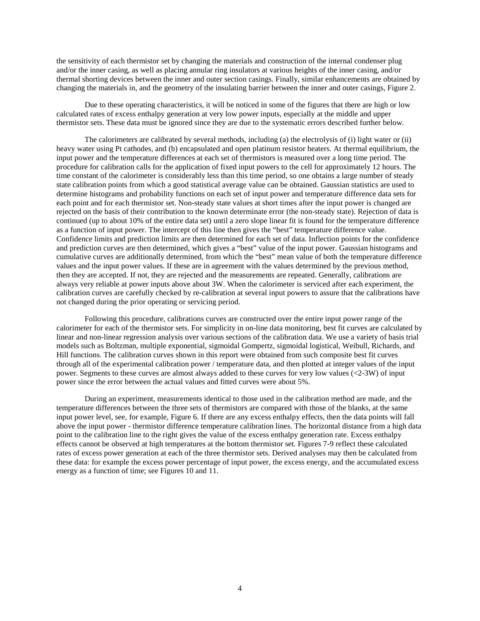the sensitivity of each thermistor set by changing the materials and construction of the internal condenser plug and/or the inner casing, as well as placing annular ring insulators at various heights of the inner casing, and/or thermal shorting devices between the inner and outer section casings. Finally, similar enhancements are obtained by changing the materials in, and the geometry of the insulating barrier between the inner and outer casings, Figure 2.

Due to these operating characteristics, it will be noticed in some of the figures that there are high or low calculated rates of excess enthalpy generation at very low power inputs, especially at the middle and upper thermistor sets. These data must be ignored since they are due to the systematic errors described further below.

The calorimeters are calibrated by several methods, including (a) the electrolysis of (i) light water or (ii) heavy water using Pt cathodes, and (b) encapsulated and open platinum resistor heaters. At thermal equilibrium, the input power and the temperature differences at each set of thermistors is measured over a long time period. The procedure for calibration calls for the application of fixed input powers to the cell for approximately 12 hours. The time constant of the calorimeter is considerably less than this time period, so one obtains a large number of steady state calibration points from which a good statistical average value can be obtained. Gaussian statistics are used to determine histograms and probability functions on each set of input power and temperature difference data sets for each point and for each thermistor set. Non-steady state values at short times after the input power is changed are rejected on the basis of their contribution to the known determinate error (the non-steady state). Rejection of data is continued (up to about 10% of the entire data set) until a zero slope linear fit is found for the temperature difference as a function of input power. The intercept of this line then gives the "best" temperature difference value. Confidence limits and prediction limits are then determined for each set of data. Inflection points for the confidence and prediction curves are then determined, which gives a "best" value of the input power. Gaussian histograms and cumulative curves are additionally determined, from which the "best" mean value of both the temperature difference values and the input power values. If these are in agreement with the values determined by the previous method, then they are accepted. If not, they are rejected and the measurements are repeated. Generally, calibrations are always very reliable at power inputs above about 3W. When the calorimeter is serviced after each experiment, the calibration curves are carefully checked by re-calibration at several input powers to assure that the calibrations have not changed during the prior operating or servicing period.

Following this procedure, calibrations curves are constructed over the entire input power range of the calorimeter for each of the thermistor sets. For simplicity in on-line data monitoring, best fit curves are calculated by linear and non-linear regression analysis over various sections of the calibration data. We use a variety of basis trial models such as Boltzman, multiple exponential, sigmoidal Gompertz, sigmoidal logistical, Weibull, Richards, and Hill functions. The calibration curves shown in this report were obtained from such composite best fit curves through all of the experimental calibration power / temperature data, and then plotted at integer values of the input power. Segments to these curves are almost always added to these curves for very low values (<2-3W) of input power since the error between the actual values and fitted curves were about 5%.

During an experiment, measurements identical to those used in the calibration method are made, and the temperature differences between the three sets of thermistors are compared with those of the blanks, at the same input power level, see, for example, Figure 6. If there are any excess enthalpy effects, then the data points will fall above the input power - thermistor difference temperature calibration lines. The horizontal distance from a high data point to the calibration line to the right gives the value of the excess enthalpy generation rate. Excess enthalpy effects cannot be observed at high temperatures at the bottom thermistor set. Figures 7-9 reflect these calculated rates of excess power generation at each of the three thermistor sets. Derived analyses may then be calculated from these data: for example the excess power percentage of input power, the excess energy, and the accumulated excess energy as a function of time; see Figures 10 and 11.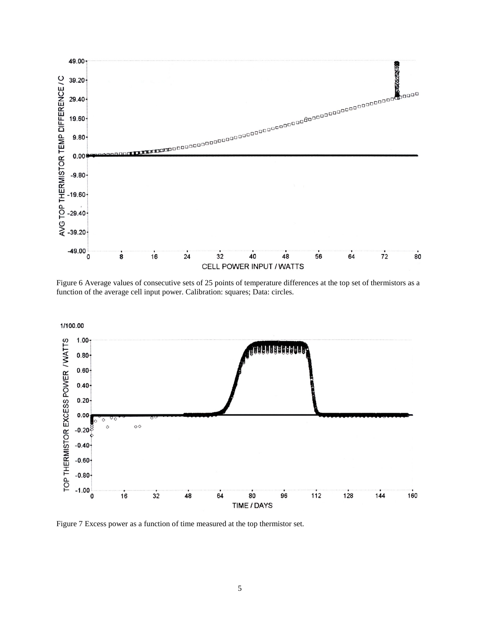

Figure 6 Average values of consecutive sets of 25 points of temperature differences at the top set of thermistors as a function of the average cell input power. Calibration: squares; Data: circles.



Figure 7 Excess power as a function of time measured at the top thermistor set.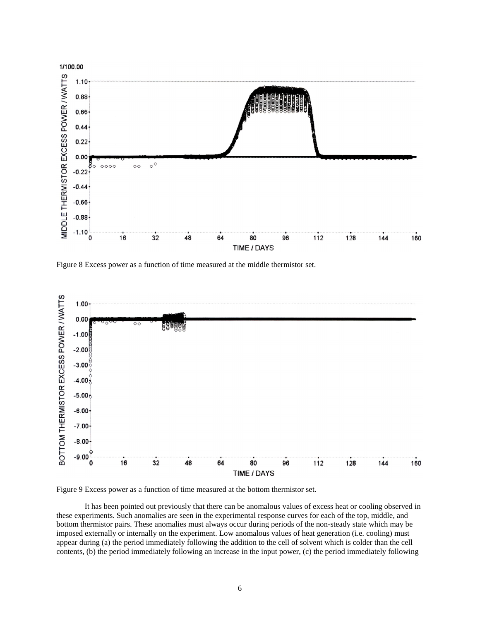

Figure 8 Excess power as a function of time measured at the middle thermistor set.



Figure 9 Excess power as a function of time measured at the bottom thermistor set.

It has been pointed out previously that there can be anomalous values of excess heat or cooling observed in these experiments. Such anomalies are seen in the experimental response curves for each of the top, middle, and bottom thermistor pairs. These anomalies must always occur during periods of the non-steady state which may be imposed externally or internally on the experiment. Low anomalous values of heat generation (i.e. cooling) must appear during (a) the period immediately following the addition to the cell of solvent which is colder than the cell contents, (b) the period immediately following an increase in the input power, (c) the period immediately following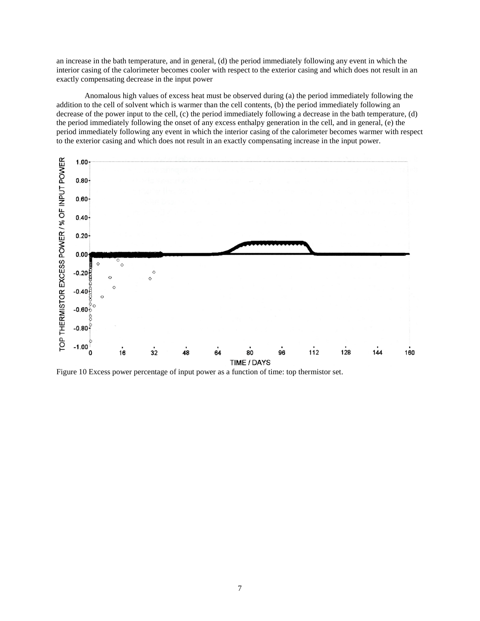an increase in the bath temperature, and in general, (d) the period immediately following any event in which the interior casing of the calorimeter becomes cooler with respect to the exterior casing and which does not result in an exactly compensating decrease in the input power

Anomalous high values of excess heat must be observed during (a) the period immediately following the addition to the cell of solvent which is warmer than the cell contents, (b) the period immediately following an decrease of the power input to the cell, (c) the period immediately following a decrease in the bath temperature, (d) the period immediately following the onset of any excess enthalpy generation in the cell, and in general, (e) the period immediately following any event in which the interior casing of the calorimeter becomes warmer with respect to the exterior casing and which does not result in an exactly compensating increase in the input power.



Figure 10 Excess power percentage of input power as a function of time: top thermistor set.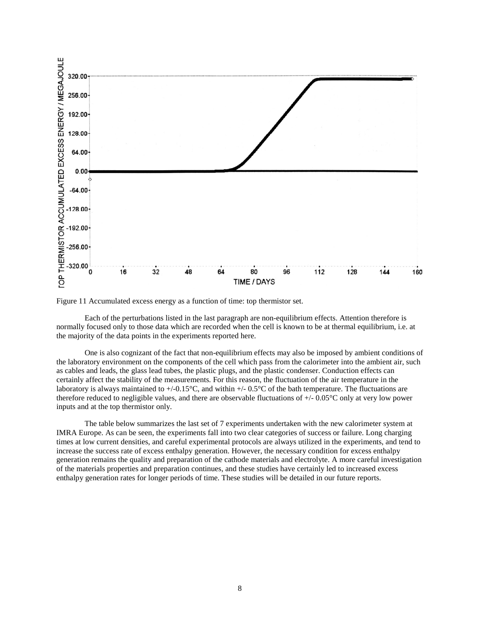

Figure 11 Accumulated excess energy as a function of time: top thermistor set.

Each of the perturbations listed in the last paragraph are non-equilibrium effects. Attention therefore is normally focused only to those data which are recorded when the cell is known to be at thermal equilibrium, i.e. at the majority of the data points in the experiments reported here.

One is also cognizant of the fact that non-equilibrium effects may also be imposed by ambient conditions of the laboratory environment on the components of the cell which pass from the calorimeter into the ambient air, such as cables and leads, the glass lead tubes, the plastic plugs, and the plastic condenser. Conduction effects can certainly affect the stability of the measurements. For this reason, the fluctuation of the air temperature in the laboratory is always maintained to  $+/-0.15^{\circ}C$ , and within  $+/-0.5^{\circ}C$  of the bath temperature. The fluctuations are therefore reduced to negligible values, and there are observable fluctuations of +/- 0.05°C only at very low power inputs and at the top thermistor only.

The table below summarizes the last set of 7 experiments undertaken with the new calorimeter system at IMRA Europe. As can be seen, the experiments fall into two clear categories of success or failure. Long charging times at low current densities, and careful experimental protocols are always utilized in the experiments, and tend to increase the success rate of excess enthalpy generation. However, the necessary condition for excess enthalpy generation remains the quality and preparation of the cathode materials and electrolyte. A more careful investigation of the materials properties and preparation continues, and these studies have certainly led to increased excess enthalpy generation rates for longer periods of time. These studies will be detailed in our future reports.